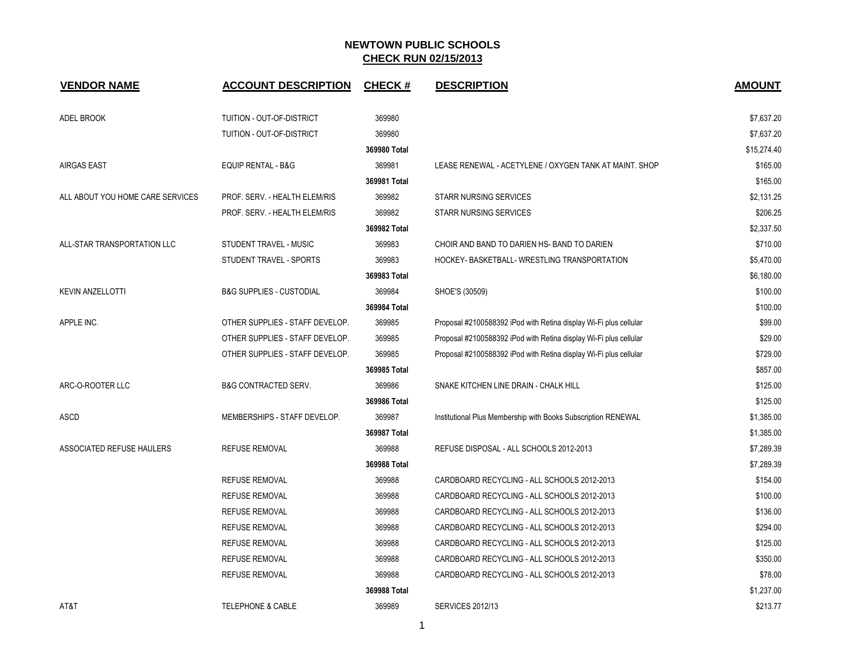| <b>VENDOR NAME</b>               | <b>ACCOUNT DESCRIPTION</b>          | <b>CHECK#</b> | <b>DESCRIPTION</b>                                                | <b>AMOUNT</b> |
|----------------------------------|-------------------------------------|---------------|-------------------------------------------------------------------|---------------|
| ADEL BROOK                       | TUITION - OUT-OF-DISTRICT           | 369980        |                                                                   | \$7,637.20    |
|                                  | TUITION - OUT-OF-DISTRICT           | 369980        |                                                                   | \$7,637.20    |
|                                  |                                     | 369980 Total  |                                                                   | \$15,274.40   |
| <b>AIRGAS EAST</b>               | <b>EQUIP RENTAL - B&amp;G</b>       | 369981        | LEASE RENEWAL - ACETYLENE / OXYGEN TANK AT MAINT. SHOP            | \$165.00      |
|                                  |                                     | 369981 Total  |                                                                   | \$165.00      |
| ALL ABOUT YOU HOME CARE SERVICES | PROF. SERV. - HEALTH ELEM/RIS       | 369982        | <b>STARR NURSING SERVICES</b>                                     | \$2,131.25    |
|                                  | PROF. SERV. - HEALTH ELEM/RIS       | 369982        | <b>STARR NURSING SERVICES</b>                                     | \$206.25      |
|                                  |                                     | 369982 Total  |                                                                   | \$2,337.50    |
| ALL-STAR TRANSPORTATION LLC      | STUDENT TRAVEL - MUSIC              | 369983        | CHOIR AND BAND TO DARIEN HS- BAND TO DARIEN                       | \$710.00      |
|                                  | STUDENT TRAVEL - SPORTS             | 369983        | HOCKEY- BASKETBALL- WRESTLING TRANSPORTATION                      | \$5,470.00    |
|                                  |                                     | 369983 Total  |                                                                   | \$6,180.00    |
| <b>KEVIN ANZELLOTTI</b>          | <b>B&amp;G SUPPLIES - CUSTODIAL</b> | 369984        | SHOE'S (30509)                                                    | \$100.00      |
|                                  |                                     | 369984 Total  |                                                                   | \$100.00      |
| APPLE INC.                       | OTHER SUPPLIES - STAFF DEVELOP.     | 369985        | Proposal #2100588392 iPod with Retina display Wi-Fi plus cellular | \$99.00       |
|                                  | OTHER SUPPLIES - STAFF DEVELOP.     | 369985        | Proposal #2100588392 iPod with Retina display Wi-Fi plus cellular | \$29.00       |
|                                  | OTHER SUPPLIES - STAFF DEVELOP.     | 369985        | Proposal #2100588392 iPod with Retina display Wi-Fi plus cellular | \$729.00      |
|                                  |                                     | 369985 Total  |                                                                   | \$857.00      |
| ARC-O-ROOTER LLC                 | <b>B&amp;G CONTRACTED SERV.</b>     | 369986        | SNAKE KITCHEN LINE DRAIN - CHALK HILL                             | \$125.00      |
|                                  |                                     | 369986 Total  |                                                                   | \$125.00      |
| <b>ASCD</b>                      | MEMBERSHIPS - STAFF DEVELOP.        | 369987        | Institutional Plus Membership with Books Subscription RENEWAL     | \$1,385.00    |
|                                  |                                     | 369987 Total  |                                                                   | \$1,385.00    |
| ASSOCIATED REFUSE HAULERS        | <b>REFUSE REMOVAL</b>               | 369988        | REFUSE DISPOSAL - ALL SCHOOLS 2012-2013                           | \$7,289.39    |
|                                  |                                     | 369988 Total  |                                                                   | \$7,289.39    |
|                                  | REFUSE REMOVAL                      | 369988        | CARDBOARD RECYCLING - ALL SCHOOLS 2012-2013                       | \$154.00      |
|                                  | <b>REFUSE REMOVAL</b>               | 369988        | CARDBOARD RECYCLING - ALL SCHOOLS 2012-2013                       | \$100.00      |
|                                  | <b>REFUSE REMOVAL</b>               | 369988        | CARDBOARD RECYCLING - ALL SCHOOLS 2012-2013                       | \$136.00      |
|                                  | <b>REFUSE REMOVAL</b>               | 369988        | CARDBOARD RECYCLING - ALL SCHOOLS 2012-2013                       | \$294.00      |
|                                  | <b>REFUSE REMOVAL</b>               | 369988        | CARDBOARD RECYCLING - ALL SCHOOLS 2012-2013                       | \$125.00      |
|                                  | <b>REFUSE REMOVAL</b>               | 369988        | CARDBOARD RECYCLING - ALL SCHOOLS 2012-2013                       | \$350.00      |
|                                  | <b>REFUSE REMOVAL</b>               | 369988        | CARDBOARD RECYCLING - ALL SCHOOLS 2012-2013                       | \$78.00       |
|                                  |                                     | 369988 Total  |                                                                   | \$1,237.00    |
| AT&T                             | <b>TELEPHONE &amp; CABLE</b>        | 369989        | <b>SERVICES 2012/13</b>                                           | \$213.77      |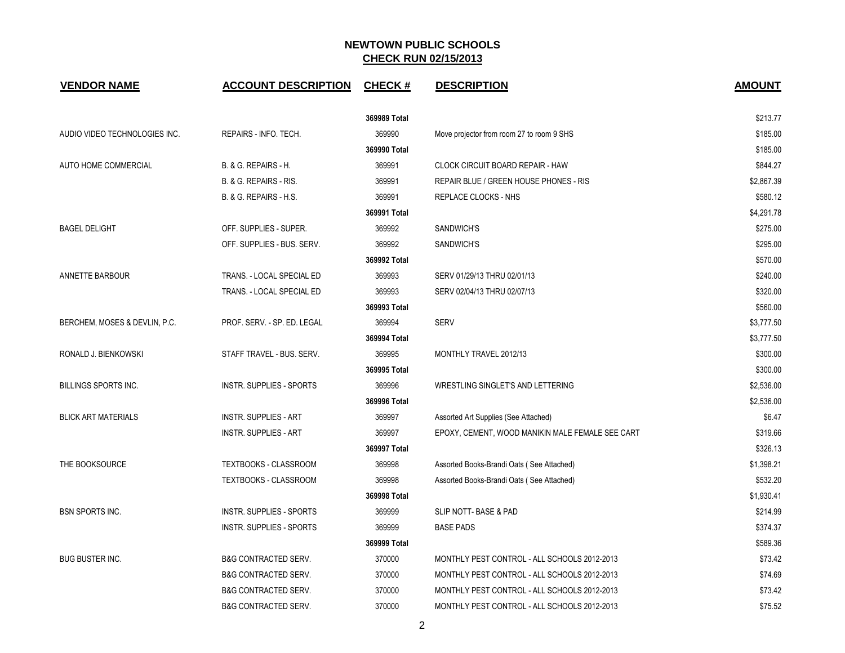| <b>VENDOR NAME</b>            | <b>ACCOUNT DESCRIPTION</b>      | <b>CHECK#</b> | <b>DESCRIPTION</b>                               | <b>AMOUNT</b> |
|-------------------------------|---------------------------------|---------------|--------------------------------------------------|---------------|
|                               |                                 | 369989 Total  |                                                  | \$213.77      |
| AUDIO VIDEO TECHNOLOGIES INC. | REPAIRS - INFO. TECH.           | 369990        | Move projector from room 27 to room 9 SHS        | \$185.00      |
|                               |                                 | 369990 Total  |                                                  | \$185.00      |
| AUTO HOME COMMERCIAL          | B. & G. REPAIRS - H.            | 369991        | CLOCK CIRCUIT BOARD REPAIR - HAW                 | \$844.27      |
|                               | B. & G. REPAIRS - RIS.          | 369991        | REPAIR BLUE / GREEN HOUSE PHONES - RIS           | \$2,867.39    |
|                               | B. & G. REPAIRS - H.S.          | 369991        | REPLACE CLOCKS - NHS                             | \$580.12      |
|                               |                                 | 369991 Total  |                                                  | \$4,291.78    |
| <b>BAGEL DELIGHT</b>          | OFF. SUPPLIES - SUPER.          | 369992        | SANDWICH'S                                       | \$275.00      |
|                               | OFF. SUPPLIES - BUS. SERV.      | 369992        | SANDWICH'S                                       | \$295.00      |
|                               |                                 | 369992 Total  |                                                  | \$570.00      |
| ANNETTE BARBOUR               | TRANS. - LOCAL SPECIAL ED       | 369993        | SERV 01/29/13 THRU 02/01/13                      | \$240.00      |
|                               | TRANS. - LOCAL SPECIAL ED       | 369993        | SERV 02/04/13 THRU 02/07/13                      | \$320.00      |
|                               |                                 | 369993 Total  |                                                  | \$560.00      |
| BERCHEM, MOSES & DEVLIN, P.C. | PROF. SERV. - SP. ED. LEGAL     | 369994        | <b>SERV</b>                                      | \$3,777.50    |
|                               |                                 | 369994 Total  |                                                  | \$3,777.50    |
| RONALD J. BIENKOWSKI          | STAFF TRAVEL - BUS, SERV.       | 369995        | MONTHLY TRAVEL 2012/13                           | \$300.00      |
|                               |                                 | 369995 Total  |                                                  | \$300.00      |
| <b>BILLINGS SPORTS INC.</b>   | INSTR. SUPPLIES - SPORTS        | 369996        | WRESTLING SINGLET'S AND LETTERING                | \$2,536.00    |
|                               |                                 | 369996 Total  |                                                  | \$2,536.00    |
| <b>BLICK ART MATERIALS</b>    | <b>INSTR. SUPPLIES - ART</b>    | 369997        | Assorted Art Supplies (See Attached)             | \$6.47        |
|                               | <b>INSTR. SUPPLIES - ART</b>    | 369997        | EPOXY, CEMENT, WOOD MANIKIN MALE FEMALE SEE CART | \$319.66      |
|                               |                                 | 369997 Total  |                                                  | \$326.13      |
| THE BOOKSOURCE                | TEXTBOOKS - CLASSROOM           | 369998        | Assorted Books-Brandi Oats (See Attached)        | \$1,398.21    |
|                               | <b>TEXTBOOKS - CLASSROOM</b>    | 369998        | Assorted Books-Brandi Oats (See Attached)        | \$532.20      |
|                               |                                 | 369998 Total  |                                                  | \$1,930.41    |
| <b>BSN SPORTS INC.</b>        | <b>INSTR. SUPPLIES - SPORTS</b> | 369999        | SLIP NOTT- BASE & PAD                            | \$214.99      |
|                               | INSTR. SUPPLIES - SPORTS        | 369999        | <b>BASE PADS</b>                                 | \$374.37      |
|                               |                                 | 369999 Total  |                                                  | \$589.36      |
| <b>BUG BUSTER INC.</b>        | <b>B&amp;G CONTRACTED SERV.</b> | 370000        | MONTHLY PEST CONTROL - ALL SCHOOLS 2012-2013     | \$73.42       |
|                               | <b>B&amp;G CONTRACTED SERV.</b> | 370000        | MONTHLY PEST CONTROL - ALL SCHOOLS 2012-2013     | \$74.69       |
|                               | <b>B&amp;G CONTRACTED SERV.</b> | 370000        | MONTHLY PEST CONTROL - ALL SCHOOLS 2012-2013     | \$73.42       |
|                               | B&G CONTRACTED SERV.            | 370000        | MONTHLY PEST CONTROL - ALL SCHOOLS 2012-2013     | \$75.52       |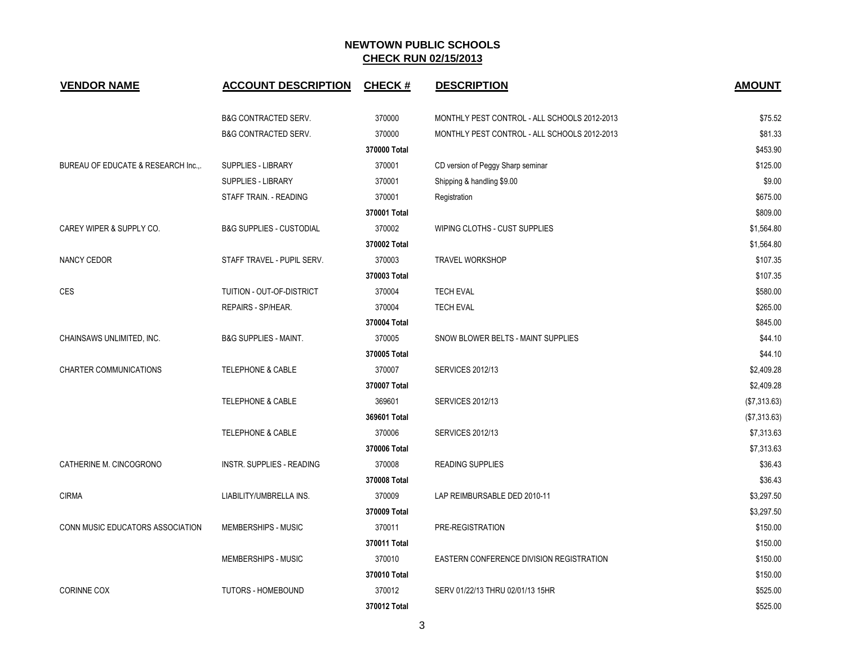| <b>VENDOR NAME</b>                  | <b>ACCOUNT DESCRIPTION</b>          | <b>CHECK#</b> | <b>DESCRIPTION</b>                           | <b>AMOUNT</b> |
|-------------------------------------|-------------------------------------|---------------|----------------------------------------------|---------------|
|                                     | <b>B&amp;G CONTRACTED SERV.</b>     | 370000        | MONTHLY PEST CONTROL - ALL SCHOOLS 2012-2013 | \$75.52       |
|                                     | <b>B&amp;G CONTRACTED SERV.</b>     | 370000        | MONTHLY PEST CONTROL - ALL SCHOOLS 2012-2013 | \$81.33       |
|                                     |                                     | 370000 Total  |                                              | \$453.90      |
| BUREAU OF EDUCATE & RESEARCH Inc.,. | <b>SUPPLIES - LIBRARY</b>           | 370001        | CD version of Peggy Sharp seminar            | \$125.00      |
|                                     | <b>SUPPLIES - LIBRARY</b>           | 370001        | Shipping & handling \$9.00                   | \$9.00        |
|                                     | STAFF TRAIN. - READING              | 370001        | Registration                                 | \$675.00      |
|                                     |                                     | 370001 Total  |                                              | \$809.00      |
| CAREY WIPER & SUPPLY CO.            | <b>B&amp;G SUPPLIES - CUSTODIAL</b> | 370002        | WIPING CLOTHS - CUST SUPPLIES                | \$1,564.80    |
|                                     |                                     | 370002 Total  |                                              | \$1,564.80    |
| NANCY CEDOR                         | STAFF TRAVEL - PUPIL SERV.          | 370003        | <b>TRAVEL WORKSHOP</b>                       | \$107.35      |
|                                     |                                     | 370003 Total  |                                              | \$107.35      |
| <b>CES</b>                          | TUITION - OUT-OF-DISTRICT           | 370004        | <b>TECH EVAL</b>                             | \$580.00      |
|                                     | REPAIRS - SP/HEAR.                  | 370004        | <b>TECH EVAL</b>                             | \$265.00      |
|                                     |                                     | 370004 Total  |                                              | \$845.00      |
| CHAINSAWS UNLIMITED, INC.           | <b>B&amp;G SUPPLIES - MAINT.</b>    | 370005        | SNOW BLOWER BELTS - MAINT SUPPLIES           | \$44.10       |
|                                     |                                     | 370005 Total  |                                              | \$44.10       |
| <b>CHARTER COMMUNICATIONS</b>       | <b>TELEPHONE &amp; CABLE</b>        | 370007        | <b>SERVICES 2012/13</b>                      | \$2,409.28    |
|                                     |                                     | 370007 Total  |                                              | \$2,409.28    |
|                                     | <b>TELEPHONE &amp; CABLE</b>        | 369601        | <b>SERVICES 2012/13</b>                      | (\$7,313.63)  |
|                                     |                                     | 369601 Total  |                                              | (\$7,313.63)  |
|                                     | <b>TELEPHONE &amp; CABLE</b>        | 370006        | <b>SERVICES 2012/13</b>                      | \$7,313.63    |
|                                     |                                     | 370006 Total  |                                              | \$7,313.63    |
| CATHERINE M. CINCOGRONO             | INSTR. SUPPLIES - READING           | 370008        | READING SUPPLIES                             | \$36.43       |
|                                     |                                     | 370008 Total  |                                              | \$36.43       |
| <b>CIRMA</b>                        | LIABILITY/UMBRELLA INS.             | 370009        | LAP REIMBURSABLE DED 2010-11                 | \$3,297.50    |
|                                     |                                     | 370009 Total  |                                              | \$3,297.50    |
| CONN MUSIC EDUCATORS ASSOCIATION    | MEMBERSHIPS - MUSIC                 | 370011        | PRE-REGISTRATION                             | \$150.00      |
|                                     |                                     | 370011 Total  |                                              | \$150.00      |
|                                     | MEMBERSHIPS - MUSIC                 | 370010        | EASTERN CONFERENCE DIVISION REGISTRATION     | \$150.00      |
|                                     |                                     | 370010 Total  |                                              | \$150.00      |
| <b>CORINNE COX</b>                  | TUTORS - HOMEBOUND                  | 370012        | SERV 01/22/13 THRU 02/01/13 15HR             | \$525.00      |
|                                     |                                     | 370012 Total  |                                              | \$525.00      |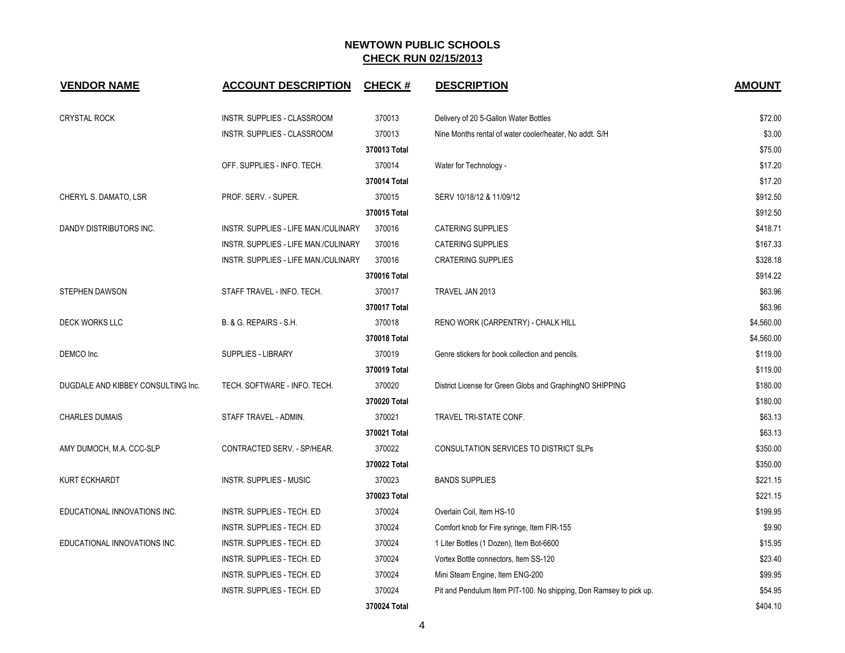| <b>VENDOR NAME</b>                 | <b>ACCOUNT DESCRIPTION</b>           | <b>CHECK#</b> | <b>DESCRIPTION</b>                                                 | <b>AMOUNT</b> |
|------------------------------------|--------------------------------------|---------------|--------------------------------------------------------------------|---------------|
| <b>CRYSTAL ROCK</b>                | INSTR. SUPPLIES - CLASSROOM          | 370013        | Delivery of 20 5-Gallon Water Bottles                              | \$72.00       |
|                                    | INSTR. SUPPLIES - CLASSROOM          | 370013        | Nine Months rental of water cooler/heater, No addt. S/H            | \$3.00        |
|                                    |                                      | 370013 Total  |                                                                    | \$75.00       |
|                                    | OFF. SUPPLIES - INFO. TECH.          | 370014        | Water for Technology -                                             | \$17.20       |
|                                    |                                      | 370014 Total  |                                                                    | \$17.20       |
| CHERYL S. DAMATO, LSR              | PROF. SERV. - SUPER.                 | 370015        | SERV 10/18/12 & 11/09/12                                           | \$912.50      |
|                                    |                                      | 370015 Total  |                                                                    | \$912.50      |
| DANDY DISTRIBUTORS INC.            | INSTR. SUPPLIES - LIFE MAN./CULINARY | 370016        | <b>CATERING SUPPLIES</b>                                           | \$418.71      |
|                                    | INSTR. SUPPLIES - LIFE MAN./CULINARY | 370016        | <b>CATERING SUPPLIES</b>                                           | \$167.33      |
|                                    | INSTR. SUPPLIES - LIFE MAN./CULINARY | 370016        | <b>CRATERING SUPPLIES</b>                                          | \$328.18      |
|                                    |                                      | 370016 Total  |                                                                    | \$914.22      |
| <b>STEPHEN DAWSON</b>              | STAFF TRAVEL - INFO. TECH.           | 370017        | TRAVEL JAN 2013                                                    | \$63.96       |
|                                    |                                      | 370017 Total  |                                                                    | \$63.96       |
| <b>DECK WORKS LLC</b>              | B. & G. REPAIRS - S.H.               | 370018        | RENO WORK (CARPENTRY) - CHALK HILL                                 | \$4,560.00    |
|                                    |                                      | 370018 Total  |                                                                    | \$4,560.00    |
| DEMCO Inc.                         | <b>SUPPLIES - LIBRARY</b>            | 370019        | Genre stickers for book collection and pencils.                    | \$119.00      |
|                                    |                                      | 370019 Total  |                                                                    | \$119.00      |
| DUGDALE AND KIBBEY CONSULTING Inc. | TECH. SOFTWARE - INFO. TECH.         | 370020        | District License for Green Globs and GraphingNO SHIPPING           | \$180.00      |
|                                    |                                      | 370020 Total  |                                                                    | \$180.00      |
| <b>CHARLES DUMAIS</b>              | STAFF TRAVEL - ADMIN.                | 370021        | TRAVEL TRI-STATE CONF.                                             | \$63.13       |
|                                    |                                      | 370021 Total  |                                                                    | \$63.13       |
| AMY DUMOCH, M.A. CCC-SLP           | CONTRACTED SERV. - SP/HEAR.          | 370022        | CONSULTATION SERVICES TO DISTRICT SLPs                             | \$350.00      |
|                                    |                                      | 370022 Total  |                                                                    | \$350.00      |
| <b>KURT ECKHARDT</b>               | <b>INSTR. SUPPLIES - MUSIC</b>       | 370023        | <b>BANDS SUPPLIES</b>                                              | \$221.15      |
|                                    |                                      | 370023 Total  |                                                                    | \$221.15      |
| EDUCATIONAL INNOVATIONS INC.       | INSTR. SUPPLIES - TECH. ED           | 370024        | Overlain Coil, Item HS-10                                          | \$199.95      |
|                                    | INSTR. SUPPLIES - TECH. ED           | 370024        | Comfort knob for Fire syringe, Item FIR-155                        | \$9.90        |
| EDUCATIONAL INNOVATIONS INC.       | INSTR. SUPPLIES - TECH. ED           | 370024        | 1 Liter Bottles (1 Dozen), Item Bot-6600                           | \$15.95       |
|                                    | INSTR. SUPPLIES - TECH. ED           | 370024        | Vortex Bottle connectors, Item SS-120                              | \$23.40       |
|                                    | INSTR. SUPPLIES - TECH. ED           | 370024        | Mini Steam Engine, Item ENG-200                                    | \$99.95       |
|                                    | INSTR. SUPPLIES - TECH. ED           | 370024        | Pit and Pendulum Item PIT-100. No shipping, Don Ramsey to pick up. | \$54.95       |
|                                    |                                      | 370024 Total  |                                                                    | \$404.10      |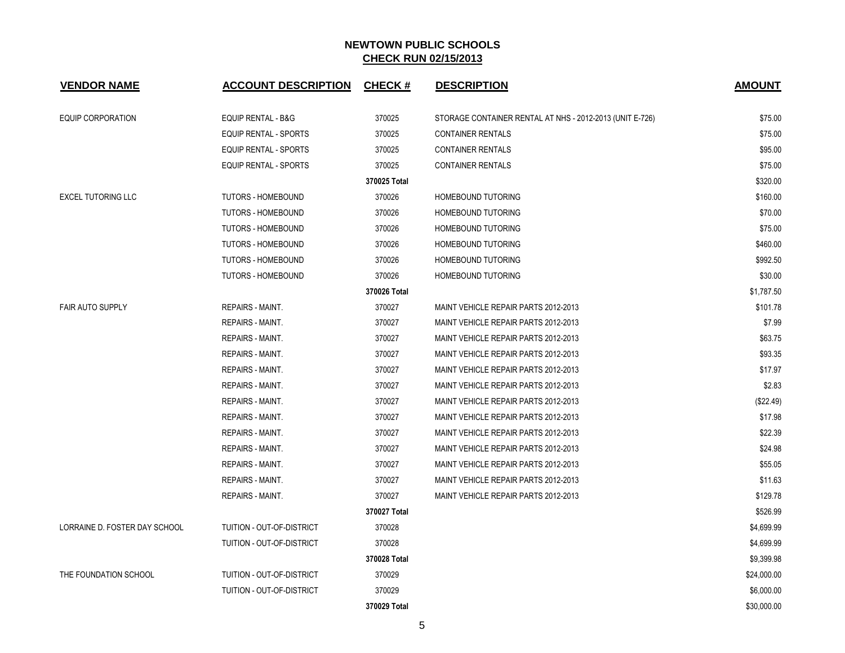| <b>VENDOR NAME</b>            | <b>ACCOUNT DESCRIPTION</b>    | <b>CHECK#</b> | <b>DESCRIPTION</b>                                       | <b>AMOUNT</b> |
|-------------------------------|-------------------------------|---------------|----------------------------------------------------------|---------------|
| EQUIP CORPORATION             | <b>EQUIP RENTAL - B&amp;G</b> | 370025        | STORAGE CONTAINER RENTAL AT NHS - 2012-2013 (UNIT E-726) | \$75.00       |
|                               | EQUIP RENTAL - SPORTS         | 370025        | <b>CONTAINER RENTALS</b>                                 | \$75.00       |
|                               | EQUIP RENTAL - SPORTS         | 370025        | <b>CONTAINER RENTALS</b>                                 | \$95.00       |
|                               | EQUIP RENTAL - SPORTS         | 370025        | <b>CONTAINER RENTALS</b>                                 | \$75.00       |
|                               |                               | 370025 Total  |                                                          | \$320.00      |
| <b>EXCEL TUTORING LLC</b>     | <b>TUTORS - HOMEBOUND</b>     | 370026        | HOMEBOUND TUTORING                                       | \$160.00      |
|                               | <b>TUTORS - HOMEBOUND</b>     | 370026        | <b>HOMEBOUND TUTORING</b>                                | \$70.00       |
|                               | <b>TUTORS - HOMEBOUND</b>     | 370026        | <b>HOMEBOUND TUTORING</b>                                | \$75.00       |
|                               | TUTORS - HOMEBOUND            | 370026        | <b>HOMEBOUND TUTORING</b>                                | \$460.00      |
|                               | TUTORS - HOMEBOUND            | 370026        | HOMEBOUND TUTORING                                       | \$992.50      |
|                               | <b>TUTORS - HOMEBOUND</b>     | 370026        | <b>HOMEBOUND TUTORING</b>                                | \$30.00       |
|                               |                               | 370026 Total  |                                                          | \$1,787.50    |
| <b>FAIR AUTO SUPPLY</b>       | <b>REPAIRS - MAINT.</b>       | 370027        | MAINT VEHICLE REPAIR PARTS 2012-2013                     | \$101.78      |
|                               | <b>REPAIRS - MAINT.</b>       | 370027        | MAINT VEHICLE REPAIR PARTS 2012-2013                     | \$7.99        |
|                               | REPAIRS - MAINT.              | 370027        | MAINT VEHICLE REPAIR PARTS 2012-2013                     | \$63.75       |
|                               | <b>REPAIRS - MAINT.</b>       | 370027        | MAINT VEHICLE REPAIR PARTS 2012-2013                     | \$93.35       |
|                               | <b>REPAIRS - MAINT.</b>       | 370027        | MAINT VEHICLE REPAIR PARTS 2012-2013                     | \$17.97       |
|                               | <b>REPAIRS - MAINT.</b>       | 370027        | MAINT VEHICLE REPAIR PARTS 2012-2013                     | \$2.83        |
|                               | <b>REPAIRS - MAINT.</b>       | 370027        | MAINT VEHICLE REPAIR PARTS 2012-2013                     | (\$22.49)     |
|                               | <b>REPAIRS - MAINT.</b>       | 370027        | MAINT VEHICLE REPAIR PARTS 2012-2013                     | \$17.98       |
|                               | <b>REPAIRS - MAINT.</b>       | 370027        | MAINT VEHICLE REPAIR PARTS 2012-2013                     | \$22.39       |
|                               | <b>REPAIRS - MAINT.</b>       | 370027        | MAINT VEHICLE REPAIR PARTS 2012-2013                     | \$24.98       |
|                               | <b>REPAIRS - MAINT.</b>       | 370027        | MAINT VEHICLE REPAIR PARTS 2012-2013                     | \$55.05       |
|                               | <b>REPAIRS - MAINT.</b>       | 370027        | MAINT VEHICLE REPAIR PARTS 2012-2013                     | \$11.63       |
|                               | <b>REPAIRS - MAINT.</b>       | 370027        | MAINT VEHICLE REPAIR PARTS 2012-2013                     | \$129.78      |
|                               |                               | 370027 Total  |                                                          | \$526.99      |
| LORRAINE D. FOSTER DAY SCHOOL | TUITION - OUT-OF-DISTRICT     | 370028        |                                                          | \$4,699.99    |
|                               | TUITION - OUT-OF-DISTRICT     | 370028        |                                                          | \$4,699.99    |
|                               |                               | 370028 Total  |                                                          | \$9,399.98    |
| THE FOUNDATION SCHOOL         | TUITION - OUT-OF-DISTRICT     | 370029        |                                                          | \$24,000.00   |
|                               | TUITION - OUT-OF-DISTRICT     | 370029        |                                                          | \$6,000.00    |
|                               |                               | 370029 Total  |                                                          | \$30,000.00   |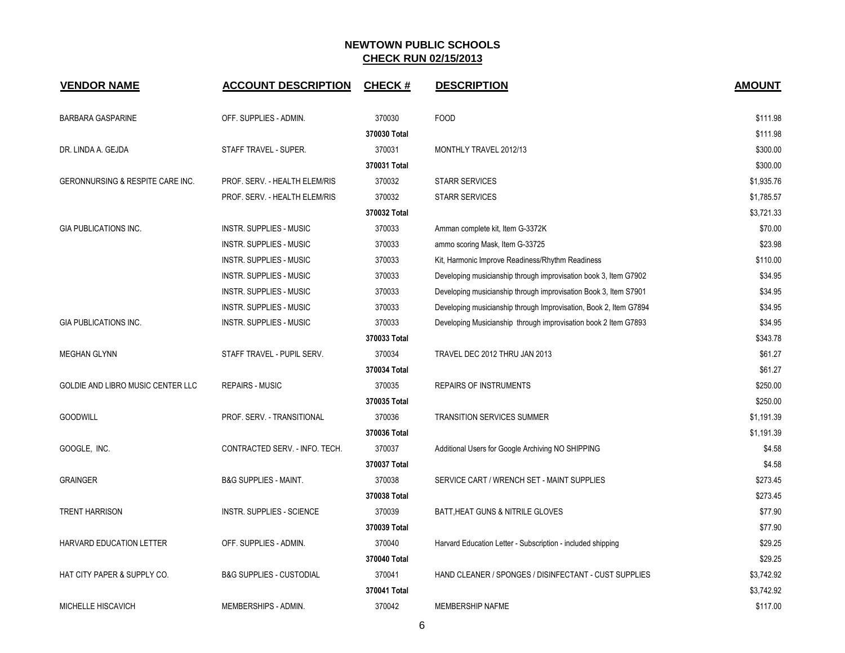| <b>VENDOR NAME</b>                          | <b>ACCOUNT DESCRIPTION</b>          | <b>CHECK#</b> | <b>DESCRIPTION</b>                                                | <b>AMOUNT</b> |
|---------------------------------------------|-------------------------------------|---------------|-------------------------------------------------------------------|---------------|
| <b>BARBARA GASPARINE</b>                    | OFF. SUPPLIES - ADMIN.              | 370030        | <b>FOOD</b>                                                       | \$111.98      |
|                                             |                                     | 370030 Total  |                                                                   | \$111.98      |
| DR. LINDA A. GEJDA                          | STAFF TRAVEL - SUPER.               | 370031        | MONTHLY TRAVEL 2012/13                                            | \$300.00      |
|                                             |                                     | 370031 Total  |                                                                   | \$300.00      |
| <b>GERONNURSING &amp; RESPITE CARE INC.</b> | PROF. SERV. - HEALTH ELEM/RIS       | 370032        | <b>STARR SERVICES</b>                                             | \$1,935.76    |
|                                             | PROF. SERV. - HEALTH ELEM/RIS       | 370032        | <b>STARR SERVICES</b>                                             | \$1,785.57    |
|                                             |                                     | 370032 Total  |                                                                   | \$3,721.33    |
| <b>GIA PUBLICATIONS INC.</b>                | <b>INSTR. SUPPLIES - MUSIC</b>      | 370033        | Amman complete kit, Item G-3372K                                  | \$70.00       |
|                                             | INSTR. SUPPLIES - MUSIC             | 370033        | ammo scoring Mask, Item G-33725                                   | \$23.98       |
|                                             | INSTR. SUPPLIES - MUSIC             | 370033        | Kit, Harmonic Improve Readiness/Rhythm Readiness                  | \$110.00      |
|                                             | INSTR. SUPPLIES - MUSIC             | 370033        | Developing musicianship through improvisation book 3, Item G7902  | \$34.95       |
|                                             | <b>INSTR. SUPPLIES - MUSIC</b>      | 370033        | Developing musicianship through improvisation Book 3, Item S7901  | \$34.95       |
|                                             | <b>INSTR. SUPPLIES - MUSIC</b>      | 370033        | Developing musicianship through Improvisation, Book 2, Item G7894 | \$34.95       |
| <b>GIA PUBLICATIONS INC.</b>                | INSTR. SUPPLIES - MUSIC             | 370033        | Developing Musicianship through improvisation book 2 Item G7893   | \$34.95       |
|                                             |                                     | 370033 Total  |                                                                   | \$343.78      |
| <b>MEGHAN GLYNN</b>                         | STAFF TRAVEL - PUPIL SERV.          | 370034        | TRAVEL DEC 2012 THRU JAN 2013                                     | \$61.27       |
|                                             |                                     | 370034 Total  |                                                                   | \$61.27       |
| GOLDIE AND LIBRO MUSIC CENTER LLC           | <b>REPAIRS - MUSIC</b>              | 370035        | <b>REPAIRS OF INSTRUMENTS</b>                                     | \$250.00      |
|                                             |                                     | 370035 Total  |                                                                   | \$250.00      |
| <b>GOODWILL</b>                             | PROF. SERV. - TRANSITIONAL          | 370036        | <b>TRANSITION SERVICES SUMMER</b>                                 | \$1,191.39    |
|                                             |                                     | 370036 Total  |                                                                   | \$1,191.39    |
| GOOGLE, INC.                                | CONTRACTED SERV. - INFO. TECH.      | 370037        | Additional Users for Google Archiving NO SHIPPING                 | \$4.58        |
|                                             |                                     | 370037 Total  |                                                                   | \$4.58        |
| <b>GRAINGER</b>                             | <b>B&amp;G SUPPLIES - MAINT.</b>    | 370038        | SERVICE CART / WRENCH SET - MAINT SUPPLIES                        | \$273.45      |
|                                             |                                     | 370038 Total  |                                                                   | \$273.45      |
| <b>TRENT HARRISON</b>                       | <b>INSTR. SUPPLIES - SCIENCE</b>    | 370039        | BATT, HEAT GUNS & NITRILE GLOVES                                  | \$77.90       |
|                                             |                                     | 370039 Total  |                                                                   | \$77.90       |
| HARVARD EDUCATION LETTER                    | OFF. SUPPLIES - ADMIN.              | 370040        | Harvard Education Letter - Subscription - included shipping       | \$29.25       |
|                                             |                                     | 370040 Total  |                                                                   | \$29.25       |
| HAT CITY PAPER & SUPPLY CO.                 | <b>B&amp;G SUPPLIES - CUSTODIAL</b> | 370041        | HAND CLEANER / SPONGES / DISINFECTANT - CUST SUPPLIES             | \$3,742.92    |
|                                             |                                     | 370041 Total  |                                                                   | \$3,742.92    |
| MICHELLE HISCAVICH                          | MEMBERSHIPS - ADMIN.                | 370042        | <b>MEMBERSHIP NAFME</b>                                           | \$117.00      |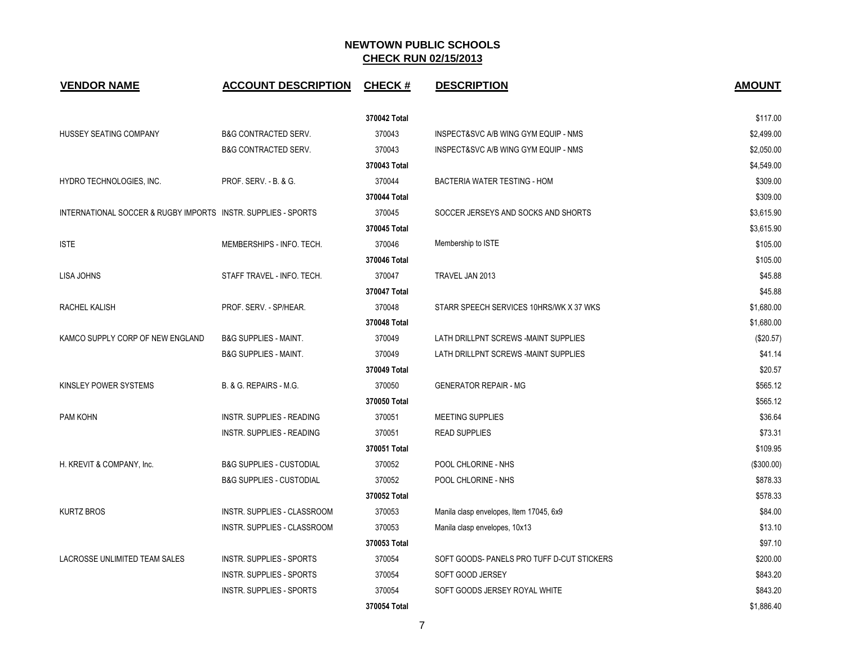| <b>VENDOR NAME</b>                                            | <b>ACCOUNT DESCRIPTION</b>          | <b>CHECK#</b> | <b>DESCRIPTION</b>                        | <b>AMOUNT</b> |
|---------------------------------------------------------------|-------------------------------------|---------------|-------------------------------------------|---------------|
|                                                               |                                     | 370042 Total  |                                           | \$117.00      |
| HUSSEY SEATING COMPANY                                        | <b>B&amp;G CONTRACTED SERV.</b>     | 370043        | INSPECT&SVC A/B WING GYM EQUIP - NMS      | \$2,499.00    |
|                                                               | <b>B&amp;G CONTRACTED SERV.</b>     | 370043        | INSPECT&SVC A/B WING GYM EQUIP - NMS      | \$2,050.00    |
|                                                               |                                     | 370043 Total  |                                           | \$4,549.00    |
| HYDRO TECHNOLOGIES, INC.                                      | PROF. SERV. - B. & G.               | 370044        | <b>BACTERIA WATER TESTING - HOM</b>       | \$309.00      |
|                                                               |                                     | 370044 Total  |                                           | \$309.00      |
| INTERNATIONAL SOCCER & RUGBY IMPORTS INSTR. SUPPLIES - SPORTS |                                     | 370045        | SOCCER JERSEYS AND SOCKS AND SHORTS       | \$3,615.90    |
|                                                               |                                     | 370045 Total  |                                           | \$3,615.90    |
| <b>ISTE</b>                                                   | MEMBERSHIPS - INFO. TECH.           | 370046        | Membership to ISTE                        | \$105.00      |
|                                                               |                                     | 370046 Total  |                                           | \$105.00      |
| <b>LISA JOHNS</b>                                             | STAFF TRAVEL - INFO. TECH.          | 370047        | TRAVEL JAN 2013                           | \$45.88       |
|                                                               |                                     | 370047 Total  |                                           | \$45.88       |
| RACHEL KALISH                                                 | PROF. SERV. - SP/HEAR.              | 370048        | STARR SPEECH SERVICES 10HRS/WK X 37 WKS   | \$1,680.00    |
|                                                               |                                     | 370048 Total  |                                           | \$1,680.00    |
| KAMCO SUPPLY CORP OF NEW ENGLAND                              | <b>B&amp;G SUPPLIES - MAINT.</b>    | 370049        | LATH DRILLPNT SCREWS -MAINT SUPPLIES      | (\$20.57)     |
|                                                               | <b>B&amp;G SUPPLIES - MAINT.</b>    | 370049        | LATH DRILLPNT SCREWS -MAINT SUPPLIES      | \$41.14       |
|                                                               |                                     | 370049 Total  |                                           | \$20.57       |
| KINSLEY POWER SYSTEMS                                         | B. & G. REPAIRS - M.G.              | 370050        | <b>GENERATOR REPAIR - MG</b>              | \$565.12      |
|                                                               |                                     | 370050 Total  |                                           | \$565.12      |
| PAM KOHN                                                      | INSTR. SUPPLIES - READING           | 370051        | <b>MEETING SUPPLIES</b>                   | \$36.64       |
|                                                               | <b>INSTR. SUPPLIES - READING</b>    | 370051        | <b>READ SUPPLIES</b>                      | \$73.31       |
|                                                               |                                     | 370051 Total  |                                           | \$109.95      |
| H. KREVIT & COMPANY, Inc.                                     | <b>B&amp;G SUPPLIES - CUSTODIAL</b> | 370052        | POOL CHLORINE - NHS                       | (\$300.00)    |
|                                                               | <b>B&amp;G SUPPLIES - CUSTODIAL</b> | 370052        | POOL CHLORINE - NHS                       | \$878.33      |
|                                                               |                                     | 370052 Total  |                                           | \$578.33      |
| <b>KURTZ BROS</b>                                             | INSTR. SUPPLIES - CLASSROOM         | 370053        | Manila clasp envelopes, Item 17045, 6x9   | \$84.00       |
|                                                               | <b>INSTR. SUPPLIES - CLASSROOM</b>  | 370053        | Manila clasp envelopes, 10x13             | \$13.10       |
|                                                               |                                     | 370053 Total  |                                           | \$97.10       |
| LACROSSE UNLIMITED TEAM SALES                                 | INSTR. SUPPLIES - SPORTS            | 370054        | SOFT GOODS-PANELS PRO TUFF D-CUT STICKERS | \$200.00      |
|                                                               | INSTR. SUPPLIES - SPORTS            | 370054        | SOFT GOOD JERSEY                          | \$843.20      |
|                                                               | INSTR. SUPPLIES - SPORTS            | 370054        | SOFT GOODS JERSEY ROYAL WHITE             | \$843.20      |
|                                                               |                                     | 370054 Total  |                                           | \$1,886.40    |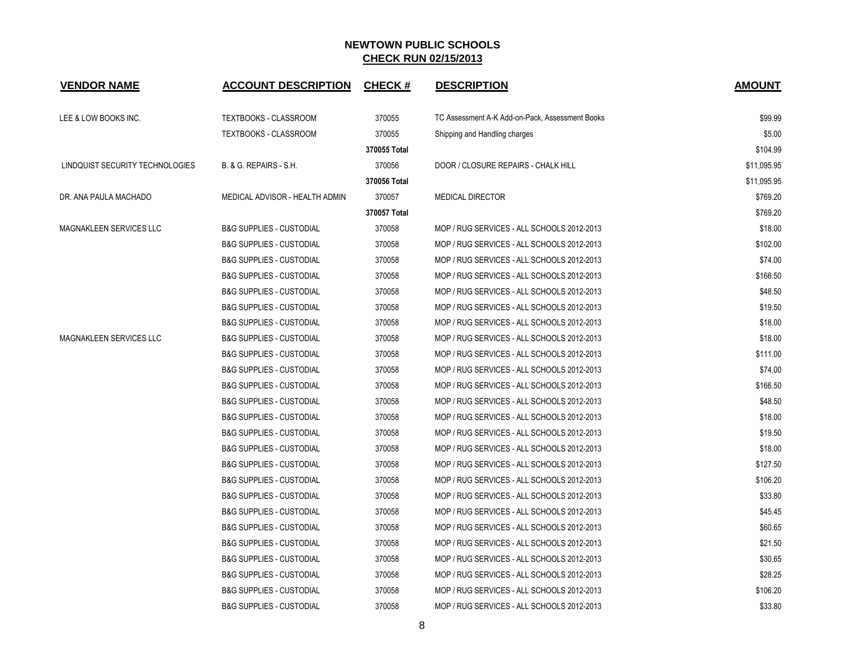| <b>VENDOR NAME</b>              | <b>ACCOUNT DESCRIPTION</b>          | <b>CHECK#</b> | <b>DESCRIPTION</b>                              | <b>AMOUNT</b> |
|---------------------------------|-------------------------------------|---------------|-------------------------------------------------|---------------|
| LEE & LOW BOOKS INC.            | <b>TEXTBOOKS - CLASSROOM</b>        | 370055        | TC Assessment A-K Add-on-Pack, Assessment Books | \$99.99       |
|                                 | <b>TEXTBOOKS - CLASSROOM</b>        | 370055        | Shipping and Handling charges                   | \$5.00        |
|                                 |                                     | 370055 Total  |                                                 | \$104.99      |
| LINDQUIST SECURITY TECHNOLOGIES | B. & G. REPAIRS - S.H.              | 370056        | DOOR / CLOSURE REPAIRS - CHALK HILL             | \$11,095.95   |
|                                 |                                     | 370056 Total  |                                                 | \$11,095.95   |
| DR. ANA PAULA MACHADO           | MEDICAL ADVISOR - HEALTH ADMIN      | 370057        | <b>MEDICAL DIRECTOR</b>                         | \$769.20      |
|                                 |                                     | 370057 Total  |                                                 | \$769.20      |
| MAGNAKLEEN SERVICES LLC         | <b>B&amp;G SUPPLIES - CUSTODIAL</b> | 370058        | MOP / RUG SERVICES - ALL SCHOOLS 2012-2013      | \$18.00       |
|                                 | <b>B&amp;G SUPPLIES - CUSTODIAL</b> | 370058        | MOP / RUG SERVICES - ALL SCHOOLS 2012-2013      | \$102.00      |
|                                 | <b>B&amp;G SUPPLIES - CUSTODIAL</b> | 370058        | MOP / RUG SERVICES - ALL SCHOOLS 2012-2013      | \$74.00       |
|                                 | <b>B&amp;G SUPPLIES - CUSTODIAL</b> | 370058        | MOP / RUG SERVICES - ALL SCHOOLS 2012-2013      | \$166.50      |
|                                 | <b>B&amp;G SUPPLIES - CUSTODIAL</b> | 370058        | MOP / RUG SERVICES - ALL SCHOOLS 2012-2013      | \$48.50       |
|                                 | <b>B&amp;G SUPPLIES - CUSTODIAL</b> | 370058        | MOP / RUG SERVICES - ALL SCHOOLS 2012-2013      | \$19.50       |
|                                 | <b>B&amp;G SUPPLIES - CUSTODIAL</b> | 370058        | MOP / RUG SERVICES - ALL SCHOOLS 2012-2013      | \$18.00       |
| <b>MAGNAKLEEN SERVICES LLC</b>  | <b>B&amp;G SUPPLIES - CUSTODIAL</b> | 370058        | MOP / RUG SERVICES - ALL SCHOOLS 2012-2013      | \$18.00       |
|                                 | <b>B&amp;G SUPPLIES - CUSTODIAL</b> | 370058        | MOP / RUG SERVICES - ALL SCHOOLS 2012-2013      | \$111.00      |
|                                 | <b>B&amp;G SUPPLIES - CUSTODIAL</b> | 370058        | MOP / RUG SERVICES - ALL SCHOOLS 2012-2013      | \$74.00       |
|                                 | <b>B&amp;G SUPPLIES - CUSTODIAL</b> | 370058        | MOP / RUG SERVICES - ALL SCHOOLS 2012-2013      | \$166.50      |
|                                 | <b>B&amp;G SUPPLIES - CUSTODIAL</b> | 370058        | MOP / RUG SERVICES - ALL SCHOOLS 2012-2013      | \$48.50       |
|                                 | <b>B&amp;G SUPPLIES - CUSTODIAL</b> | 370058        | MOP / RUG SERVICES - ALL SCHOOLS 2012-2013      | \$18.00       |
|                                 | <b>B&amp;G SUPPLIES - CUSTODIAL</b> | 370058        | MOP / RUG SERVICES - ALL SCHOOLS 2012-2013      | \$19.50       |
|                                 | <b>B&amp;G SUPPLIES - CUSTODIAL</b> | 370058        | MOP / RUG SERVICES - ALL SCHOOLS 2012-2013      | \$18.00       |
|                                 | <b>B&amp;G SUPPLIES - CUSTODIAL</b> | 370058        | MOP / RUG SERVICES - ALL SCHOOLS 2012-2013      | \$127.50      |
|                                 | <b>B&amp;G SUPPLIES - CUSTODIAL</b> | 370058        | MOP / RUG SERVICES - ALL SCHOOLS 2012-2013      | \$106.20      |
|                                 | <b>B&amp;G SUPPLIES - CUSTODIAL</b> | 370058        | MOP / RUG SERVICES - ALL SCHOOLS 2012-2013      | \$33.80       |
|                                 | <b>B&amp;G SUPPLIES - CUSTODIAL</b> | 370058        | MOP / RUG SERVICES - ALL SCHOOLS 2012-2013      | \$45.45       |
|                                 | <b>B&amp;G SUPPLIES - CUSTODIAL</b> | 370058        | MOP / RUG SERVICES - ALL SCHOOLS 2012-2013      | \$60.65       |
|                                 | <b>B&amp;G SUPPLIES - CUSTODIAL</b> | 370058        | MOP / RUG SERVICES - ALL SCHOOLS 2012-2013      | \$21.50       |
|                                 | <b>B&amp;G SUPPLIES - CUSTODIAL</b> | 370058        | MOP / RUG SERVICES - ALL SCHOOLS 2012-2013      | \$30.65       |
|                                 | <b>B&amp;G SUPPLIES - CUSTODIAL</b> | 370058        | MOP / RUG SERVICES - ALL SCHOOLS 2012-2013      | \$28.25       |
|                                 | <b>B&amp;G SUPPLIES - CUSTODIAL</b> | 370058        | MOP / RUG SERVICES - ALL SCHOOLS 2012-2013      | \$106.20      |
|                                 | <b>B&amp;G SUPPLIES - CUSTODIAL</b> | 370058        | MOP / RUG SERVICES - ALL SCHOOLS 2012-2013      | \$33.80       |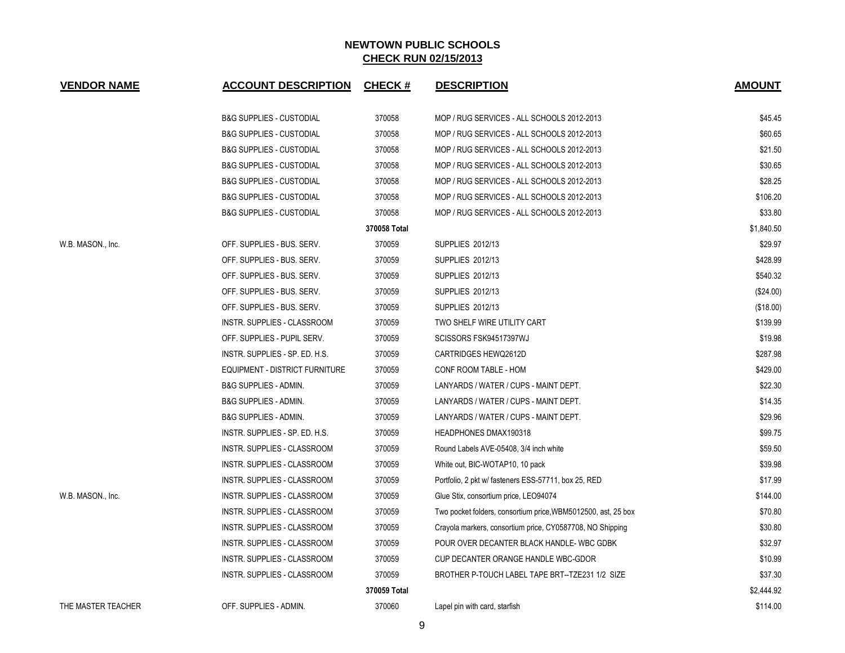| <b>VENDOR NAME</b> | <b>ACCOUNT DESCRIPTION</b>          | <b>CHECK#</b> | <b>DESCRIPTION</b>                                            | <b>AMOUNT</b> |
|--------------------|-------------------------------------|---------------|---------------------------------------------------------------|---------------|
|                    | <b>B&amp;G SUPPLIES - CUSTODIAL</b> | 370058        | MOP / RUG SERVICES - ALL SCHOOLS 2012-2013                    | \$45.45       |
|                    | <b>B&amp;G SUPPLIES - CUSTODIAL</b> | 370058        | MOP / RUG SERVICES - ALL SCHOOLS 2012-2013                    | \$60.65       |
|                    | <b>B&amp;G SUPPLIES - CUSTODIAL</b> | 370058        | MOP / RUG SERVICES - ALL SCHOOLS 2012-2013                    | \$21.50       |
|                    | <b>B&amp;G SUPPLIES - CUSTODIAL</b> | 370058        | MOP / RUG SERVICES - ALL SCHOOLS 2012-2013                    | \$30.65       |
|                    | <b>B&amp;G SUPPLIES - CUSTODIAL</b> | 370058        | MOP / RUG SERVICES - ALL SCHOOLS 2012-2013                    | \$28.25       |
|                    | <b>B&amp;G SUPPLIES - CUSTODIAL</b> | 370058        | MOP / RUG SERVICES - ALL SCHOOLS 2012-2013                    | \$106.20      |
|                    | <b>B&amp;G SUPPLIES - CUSTODIAL</b> | 370058        | MOP / RUG SERVICES - ALL SCHOOLS 2012-2013                    | \$33.80       |
|                    |                                     | 370058 Total  |                                                               | \$1,840.50    |
| W.B. MASON., Inc.  | OFF. SUPPLIES - BUS. SERV.          | 370059        | SUPPLIES 2012/13                                              | \$29.97       |
|                    | OFF. SUPPLIES - BUS. SERV.          | 370059        | SUPPLIES 2012/13                                              | \$428.99      |
|                    | OFF. SUPPLIES - BUS. SERV.          | 370059        | SUPPLIES 2012/13                                              | \$540.32      |
|                    | OFF. SUPPLIES - BUS. SERV.          | 370059        | SUPPLIES 2012/13                                              | $(\$24.00)$   |
|                    | OFF. SUPPLIES - BUS. SERV.          | 370059        | SUPPLIES 2012/13                                              | (\$18.00)     |
|                    | INSTR. SUPPLIES - CLASSROOM         | 370059        | TWO SHELF WIRE UTILITY CART                                   | \$139.99      |
|                    | OFF. SUPPLIES - PUPIL SERV.         | 370059        | SCISSORS FSK94517397WJ                                        | \$19.98       |
|                    | INSTR. SUPPLIES - SP. ED. H.S.      | 370059        | CARTRIDGES HEWQ2612D                                          | \$287.98      |
|                    | EQUIPMENT - DISTRICT FURNITURE      | 370059        | CONF ROOM TABLE - HOM                                         | \$429.00      |
|                    | <b>B&amp;G SUPPLIES - ADMIN.</b>    | 370059        | LANYARDS / WATER / CUPS - MAINT DEPT.                         | \$22.30       |
|                    | <b>B&amp;G SUPPLIES - ADMIN.</b>    | 370059        | LANYARDS / WATER / CUPS - MAINT DEPT.                         | \$14.35       |
|                    | B&G SUPPLIES - ADMIN.               | 370059        | LANYARDS / WATER / CUPS - MAINT DEPT.                         | \$29.96       |
|                    | INSTR. SUPPLIES - SP. ED. H.S.      | 370059        | <b>HEADPHONES DMAX190318</b>                                  | \$99.75       |
|                    | INSTR. SUPPLIES - CLASSROOM         | 370059        | Round Labels AVE-05408, 3/4 inch white                        | \$59.50       |
|                    | INSTR. SUPPLIES - CLASSROOM         | 370059        | White out, BIC-WOTAP10, 10 pack                               | \$39.98       |
|                    | INSTR. SUPPLIES - CLASSROOM         | 370059        | Portfolio, 2 pkt w/ fasteners ESS-57711, box 25, RED          | \$17.99       |
| W.B. MASON., Inc.  | INSTR. SUPPLIES - CLASSROOM         | 370059        | Glue Stix, consortium price, LEO94074                         | \$144.00      |
|                    | INSTR. SUPPLIES - CLASSROOM         | 370059        | Two pocket folders, consortium price, WBM5012500, ast, 25 box | \$70.80       |
|                    | INSTR. SUPPLIES - CLASSROOM         | 370059        | Crayola markers, consortium price, CY0587708, NO Shipping     | \$30.80       |
|                    | INSTR. SUPPLIES - CLASSROOM         | 370059        | POUR OVER DECANTER BLACK HANDLE-WBC GDBK                      | \$32.97       |
|                    | INSTR. SUPPLIES - CLASSROOM         | 370059        | CUP DECANTER ORANGE HANDLE WBC-GDOR                           | \$10.99       |
|                    | INSTR. SUPPLIES - CLASSROOM         | 370059        | BROTHER P-TOUCH LABEL TAPE BRT--TZE231 1/2 SIZE               | \$37.30       |
|                    |                                     | 370059 Total  |                                                               | \$2,444.92    |
| THE MASTER TEACHER | OFF. SUPPLIES - ADMIN.              | 370060        | Lapel pin with card, starfish                                 | \$114.00      |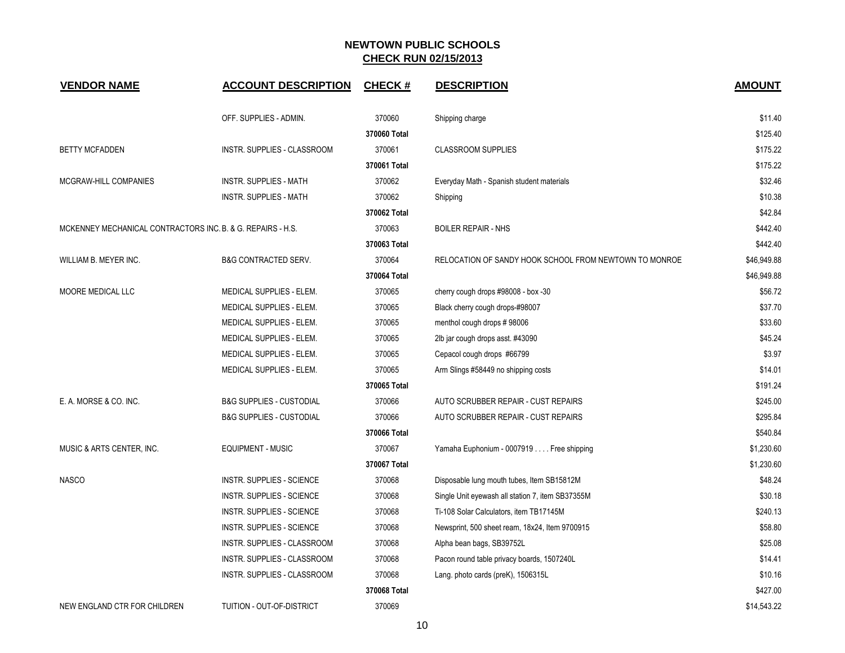| <b>VENDOR NAME</b>                                          | <b>ACCOUNT DESCRIPTION</b>          | <b>CHECK#</b> | <b>DESCRIPTION</b>                                     | <b>AMOUNT</b> |
|-------------------------------------------------------------|-------------------------------------|---------------|--------------------------------------------------------|---------------|
|                                                             | OFF. SUPPLIES - ADMIN.              | 370060        | Shipping charge                                        | \$11.40       |
|                                                             |                                     | 370060 Total  |                                                        | \$125.40      |
| <b>BETTY MCFADDEN</b>                                       | INSTR. SUPPLIES - CLASSROOM         | 370061        | <b>CLASSROOM SUPPLIES</b>                              | \$175.22      |
|                                                             |                                     | 370061 Total  |                                                        | \$175.22      |
| MCGRAW-HILL COMPANIES                                       | <b>INSTR. SUPPLIES - MATH</b>       | 370062        | Everyday Math - Spanish student materials              | \$32.46       |
|                                                             | <b>INSTR. SUPPLIES - MATH</b>       | 370062        | Shipping                                               | \$10.38       |
|                                                             |                                     | 370062 Total  |                                                        | \$42.84       |
| MCKENNEY MECHANICAL CONTRACTORS INC. B. & G. REPAIRS - H.S. |                                     | 370063        | <b>BOILER REPAIR - NHS</b>                             | \$442.40      |
|                                                             |                                     | 370063 Total  |                                                        | \$442.40      |
| WILLIAM B. MEYER INC.                                       | <b>B&amp;G CONTRACTED SERV.</b>     | 370064        | RELOCATION OF SANDY HOOK SCHOOL FROM NEWTOWN TO MONROE | \$46,949.88   |
|                                                             |                                     | 370064 Total  |                                                        | \$46,949.88   |
| MOORE MEDICAL LLC                                           | MEDICAL SUPPLIES - ELEM.            | 370065        | cherry cough drops #98008 - box -30                    | \$56.72       |
|                                                             | MEDICAL SUPPLIES - ELEM.            | 370065        | Black cherry cough drops-#98007                        | \$37.70       |
|                                                             | MEDICAL SUPPLIES - ELEM.            | 370065        | menthol cough drops #98006                             | \$33.60       |
|                                                             | MEDICAL SUPPLIES - ELEM.            | 370065        | 2lb jar cough drops asst. #43090                       | \$45.24       |
|                                                             | MEDICAL SUPPLIES - ELEM.            | 370065        | Cepacol cough drops #66799                             | \$3.97        |
|                                                             | MEDICAL SUPPLIES - ELEM.            | 370065        | Arm Slings #58449 no shipping costs                    | \$14.01       |
|                                                             |                                     | 370065 Total  |                                                        | \$191.24      |
| E. A. MORSE & CO. INC.                                      | <b>B&amp;G SUPPLIES - CUSTODIAL</b> | 370066        | AUTO SCRUBBER REPAIR - CUST REPAIRS                    | \$245.00      |
|                                                             | <b>B&amp;G SUPPLIES - CUSTODIAL</b> | 370066        | AUTO SCRUBBER REPAIR - CUST REPAIRS                    | \$295.84      |
|                                                             |                                     | 370066 Total  |                                                        | \$540.84      |
| MUSIC & ARTS CENTER, INC.                                   | <b>EQUIPMENT - MUSIC</b>            | 370067        | Yamaha Euphonium - 0007919 Free shipping               | \$1,230.60    |
|                                                             |                                     | 370067 Total  |                                                        | \$1,230.60    |
| <b>NASCO</b>                                                | <b>INSTR. SUPPLIES - SCIENCE</b>    | 370068        | Disposable lung mouth tubes, Item SB15812M             | \$48.24       |
|                                                             | <b>INSTR. SUPPLIES - SCIENCE</b>    | 370068        | Single Unit eyewash all station 7, item SB37355M       | \$30.18       |
|                                                             | INSTR. SUPPLIES - SCIENCE           | 370068        | Ti-108 Solar Calculators, item TB17145M                | \$240.13      |
|                                                             | INSTR. SUPPLIES - SCIENCE           | 370068        | Newsprint, 500 sheet ream, 18x24, Item 9700915         | \$58.80       |
|                                                             | INSTR. SUPPLIES - CLASSROOM         | 370068        | Alpha bean bags, SB39752L                              | \$25.08       |
|                                                             | INSTR. SUPPLIES - CLASSROOM         | 370068        | Pacon round table privacy boards, 1507240L             | \$14.41       |
|                                                             | INSTR. SUPPLIES - CLASSROOM         | 370068        | Lang. photo cards (preK), 1506315L                     | \$10.16       |
|                                                             |                                     | 370068 Total  |                                                        | \$427.00      |
| NEW ENGLAND CTR FOR CHILDREN                                | TUITION - OUT-OF-DISTRICT           | 370069        |                                                        | \$14,543.22   |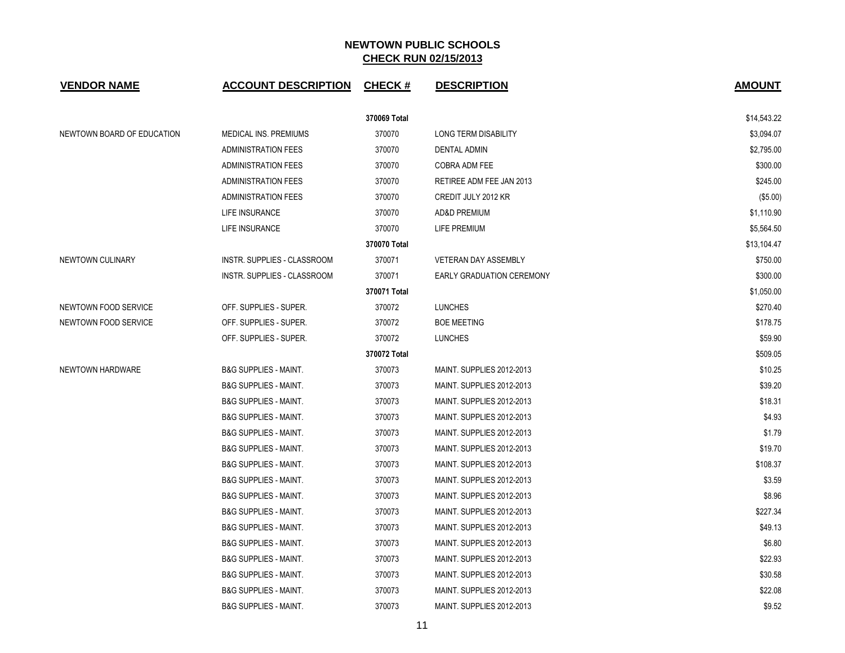| <b>VENDOR NAME</b>         | <b>ACCOUNT DESCRIPTION</b>       | <b>CHECK#</b> | <b>DESCRIPTION</b>               | <b>AMOUNT</b> |
|----------------------------|----------------------------------|---------------|----------------------------------|---------------|
|                            |                                  | 370069 Total  |                                  | \$14,543.22   |
| NEWTOWN BOARD OF EDUCATION | MEDICAL INS. PREMIUMS            | 370070        | LONG TERM DISABILITY             | \$3,094.07    |
|                            | <b>ADMINISTRATION FEES</b>       | 370070        | <b>DENTAL ADMIN</b>              | \$2,795.00    |
|                            | <b>ADMINISTRATION FEES</b>       | 370070        | COBRA ADM FEE                    | \$300.00      |
|                            | <b>ADMINISTRATION FEES</b>       | 370070        | RETIREE ADM FEE JAN 2013         | \$245.00      |
|                            | <b>ADMINISTRATION FEES</b>       | 370070        | CREDIT JULY 2012 KR              | (\$5.00)      |
|                            | LIFE INSURANCE                   | 370070        | <b>AD&amp;D PREMIUM</b>          | \$1,110.90    |
|                            | LIFE INSURANCE                   | 370070        | LIFE PREMIUM                     | \$5,564.50    |
|                            |                                  | 370070 Total  |                                  | \$13,104.47   |
| NEWTOWN CULINARY           | INSTR. SUPPLIES - CLASSROOM      | 370071        | <b>VETERAN DAY ASSEMBLY</b>      | \$750.00      |
|                            | INSTR. SUPPLIES - CLASSROOM      | 370071        | <b>EARLY GRADUATION CEREMONY</b> | \$300.00      |
|                            |                                  | 370071 Total  |                                  | \$1,050.00    |
| NEWTOWN FOOD SERVICE       | OFF. SUPPLIES - SUPER.           | 370072        | <b>LUNCHES</b>                   | \$270.40      |
| NEWTOWN FOOD SERVICE       | OFF. SUPPLIES - SUPER.           | 370072        | <b>BOE MEETING</b>               | \$178.75      |
|                            | OFF. SUPPLIES - SUPER.           | 370072        | <b>LUNCHES</b>                   | \$59.90       |
|                            |                                  | 370072 Total  |                                  | \$509.05      |
| NEWTOWN HARDWARE           | <b>B&amp;G SUPPLIES - MAINT.</b> | 370073        | MAINT. SUPPLIES 2012-2013        | \$10.25       |
|                            | <b>B&amp;G SUPPLIES - MAINT.</b> | 370073        | MAINT. SUPPLIES 2012-2013        | \$39.20       |
|                            | <b>B&amp;G SUPPLIES - MAINT.</b> | 370073        | MAINT. SUPPLIES 2012-2013        | \$18.31       |
|                            | <b>B&amp;G SUPPLIES - MAINT.</b> | 370073        | MAINT. SUPPLIES 2012-2013        | \$4.93        |
|                            | <b>B&amp;G SUPPLIES - MAINT.</b> | 370073        | MAINT. SUPPLIES 2012-2013        | \$1.79        |
|                            | <b>B&amp;G SUPPLIES - MAINT.</b> | 370073        | MAINT. SUPPLIES 2012-2013        | \$19.70       |
|                            | <b>B&amp;G SUPPLIES - MAINT.</b> | 370073        | MAINT. SUPPLIES 2012-2013        | \$108.37      |
|                            | <b>B&amp;G SUPPLIES - MAINT.</b> | 370073        | MAINT. SUPPLIES 2012-2013        | \$3.59        |
|                            | <b>B&amp;G SUPPLIES - MAINT.</b> | 370073        | MAINT. SUPPLIES 2012-2013        | \$8.96        |
|                            | <b>B&amp;G SUPPLIES - MAINT.</b> | 370073        | MAINT. SUPPLIES 2012-2013        | \$227.34      |
|                            | <b>B&amp;G SUPPLIES - MAINT.</b> | 370073        | MAINT. SUPPLIES 2012-2013        | \$49.13       |
|                            | <b>B&amp;G SUPPLIES - MAINT.</b> | 370073        | MAINT. SUPPLIES 2012-2013        | \$6.80        |
|                            | <b>B&amp;G SUPPLIES - MAINT.</b> | 370073        | MAINT. SUPPLIES 2012-2013        | \$22.93       |
|                            | <b>B&amp;G SUPPLIES - MAINT.</b> | 370073        | MAINT. SUPPLIES 2012-2013        | \$30.58       |
|                            | <b>B&amp;G SUPPLIES - MAINT.</b> | 370073        | MAINT. SUPPLIES 2012-2013        | \$22.08       |
|                            | <b>B&amp;G SUPPLIES - MAINT.</b> | 370073        | MAINT. SUPPLIES 2012-2013        | \$9.52        |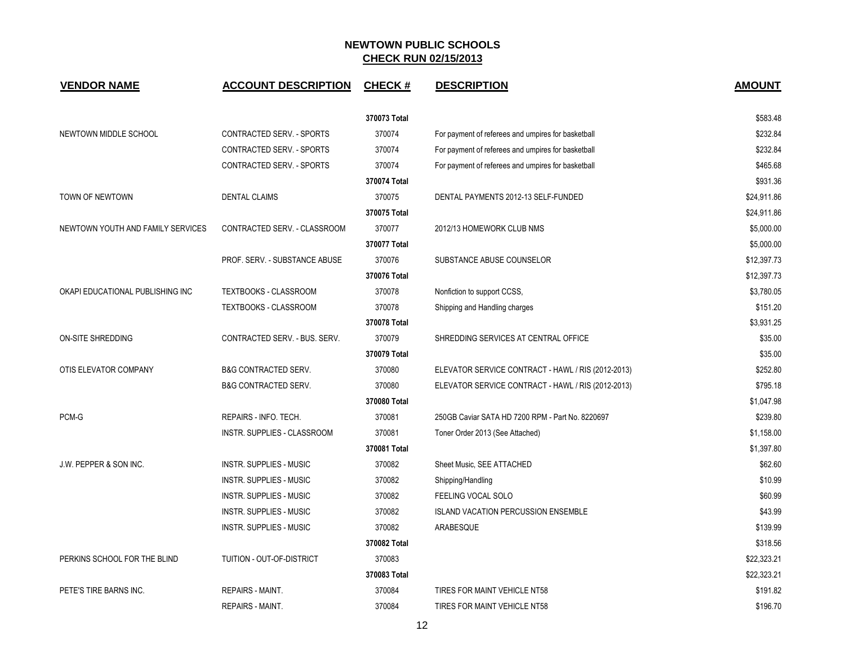| <b>VENDOR NAME</b>                | <b>ACCOUNT DESCRIPTION</b>      | <b>CHECK#</b> | <b>DESCRIPTION</b>                                 | <b>AMOUNT</b> |
|-----------------------------------|---------------------------------|---------------|----------------------------------------------------|---------------|
|                                   |                                 | 370073 Total  |                                                    | \$583.48      |
| NEWTOWN MIDDLE SCHOOL             | CONTRACTED SERV. - SPORTS       | 370074        | For payment of referees and umpires for basketball | \$232.84      |
|                                   | CONTRACTED SERV. - SPORTS       | 370074        | For payment of referees and umpires for basketball | \$232.84      |
|                                   | CONTRACTED SERV. - SPORTS       | 370074        | For payment of referees and umpires for basketball | \$465.68      |
|                                   |                                 | 370074 Total  |                                                    | \$931.36      |
| TOWN OF NEWTOWN                   | <b>DENTAL CLAIMS</b>            | 370075        | DENTAL PAYMENTS 2012-13 SELF-FUNDED                | \$24,911.86   |
|                                   |                                 | 370075 Total  |                                                    | \$24,911.86   |
| NEWTOWN YOUTH AND FAMILY SERVICES | CONTRACTED SERV. - CLASSROOM    | 370077        | 2012/13 HOMEWORK CLUB NMS                          | \$5,000.00    |
|                                   |                                 | 370077 Total  |                                                    | \$5,000.00    |
|                                   | PROF. SERV. - SUBSTANCE ABUSE   | 370076        | SUBSTANCE ABUSE COUNSELOR                          | \$12,397.73   |
|                                   |                                 | 370076 Total  |                                                    | \$12,397.73   |
| OKAPI EDUCATIONAL PUBLISHING INC  | TEXTBOOKS - CLASSROOM           | 370078        | Nonfiction to support CCSS,                        | \$3,780.05    |
|                                   | <b>TEXTBOOKS - CLASSROOM</b>    | 370078        | Shipping and Handling charges                      | \$151.20      |
|                                   |                                 | 370078 Total  |                                                    | \$3,931.25    |
| ON-SITE SHREDDING                 | CONTRACTED SERV. - BUS. SERV.   | 370079        | SHREDDING SERVICES AT CENTRAL OFFICE               | \$35.00       |
|                                   |                                 | 370079 Total  |                                                    | \$35.00       |
| OTIS ELEVATOR COMPANY             | <b>B&amp;G CONTRACTED SERV.</b> | 370080        | ELEVATOR SERVICE CONTRACT - HAWL / RIS (2012-2013) | \$252.80      |
|                                   | <b>B&amp;G CONTRACTED SERV.</b> | 370080        | ELEVATOR SERVICE CONTRACT - HAWL / RIS (2012-2013) | \$795.18      |
|                                   |                                 | 370080 Total  |                                                    | \$1,047.98    |
| PCM-G                             | REPAIRS - INFO. TECH.           | 370081        | 250GB Caviar SATA HD 7200 RPM - Part No. 8220697   | \$239.80      |
|                                   | INSTR. SUPPLIES - CLASSROOM     | 370081        | Toner Order 2013 (See Attached)                    | \$1,158.00    |
|                                   |                                 | 370081 Total  |                                                    | \$1,397.80    |
| J.W. PEPPER & SON INC.            | INSTR. SUPPLIES - MUSIC         | 370082        | Sheet Music, SEE ATTACHED                          | \$62.60       |
|                                   | <b>INSTR. SUPPLIES - MUSIC</b>  | 370082        | Shipping/Handling                                  | \$10.99       |
|                                   | INSTR. SUPPLIES - MUSIC         | 370082        | FEELING VOCAL SOLO                                 | \$60.99       |
|                                   | INSTR. SUPPLIES - MUSIC         | 370082        | <b>ISLAND VACATION PERCUSSION ENSEMBLE</b>         | \$43.99       |
|                                   | <b>INSTR. SUPPLIES - MUSIC</b>  | 370082        | ARABESQUE                                          | \$139.99      |
|                                   |                                 | 370082 Total  |                                                    | \$318.56      |
| PERKINS SCHOOL FOR THE BLIND      | TUITION - OUT-OF-DISTRICT       | 370083        |                                                    | \$22,323.21   |
|                                   |                                 | 370083 Total  |                                                    | \$22,323.21   |
| PETE'S TIRE BARNS INC.            | <b>REPAIRS - MAINT.</b>         | 370084        | TIRES FOR MAINT VEHICLE NT58                       | \$191.82      |
|                                   | <b>REPAIRS - MAINT.</b>         | 370084        | TIRES FOR MAINT VEHICLE NT58                       | \$196.70      |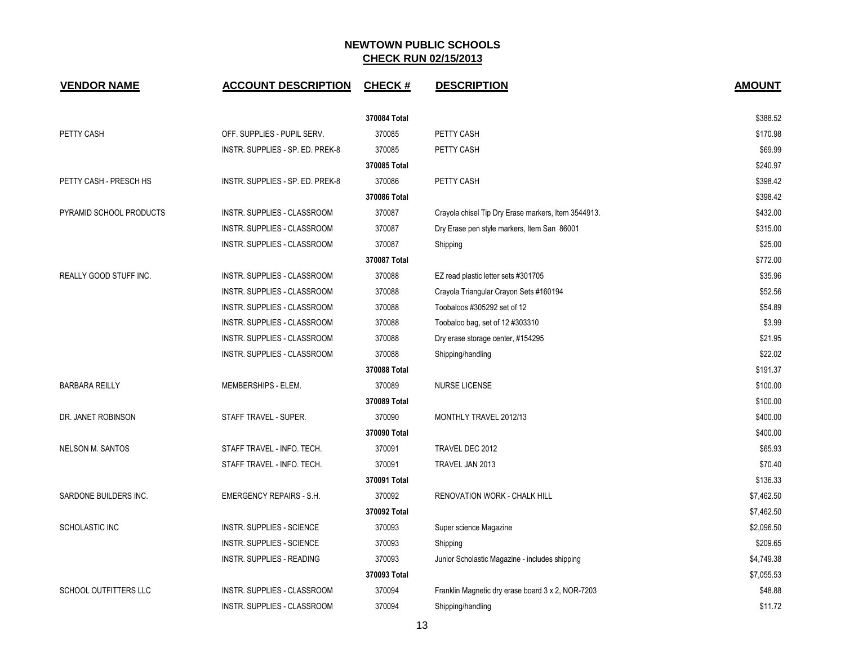| <b>VENDOR NAME</b>      | <b>ACCOUNT DESCRIPTION</b>       | <b>CHECK#</b> | <b>DESCRIPTION</b>                                  | <b>AMOUNT</b> |
|-------------------------|----------------------------------|---------------|-----------------------------------------------------|---------------|
|                         |                                  | 370084 Total  |                                                     | \$388.52      |
| PETTY CASH              | OFF. SUPPLIES - PUPIL SERV.      | 370085        | PETTY CASH                                          | \$170.98      |
|                         | INSTR. SUPPLIES - SP. ED. PREK-8 | 370085        | PETTY CASH                                          | \$69.99       |
|                         |                                  | 370085 Total  |                                                     | \$240.97      |
| PETTY CASH - PRESCH HS  | INSTR. SUPPLIES - SP. ED. PREK-8 | 370086        | PETTY CASH                                          | \$398.42      |
|                         |                                  | 370086 Total  |                                                     | \$398.42      |
| PYRAMID SCHOOL PRODUCTS | INSTR. SUPPLIES - CLASSROOM      | 370087        | Crayola chisel Tip Dry Erase markers, Item 3544913. | \$432.00      |
|                         | INSTR. SUPPLIES - CLASSROOM      | 370087        | Dry Erase pen style markers, Item San 86001         | \$315.00      |
|                         | INSTR. SUPPLIES - CLASSROOM      | 370087        | Shipping                                            | \$25.00       |
|                         |                                  | 370087 Total  |                                                     | \$772.00      |
| REALLY GOOD STUFF INC.  | INSTR. SUPPLIES - CLASSROOM      | 370088        | EZ read plastic letter sets #301705                 | \$35.96       |
|                         | INSTR. SUPPLIES - CLASSROOM      | 370088        | Crayola Triangular Crayon Sets #160194              | \$52.56       |
|                         | INSTR. SUPPLIES - CLASSROOM      | 370088        | Toobaloos #305292 set of 12                         | \$54.89       |
|                         | INSTR. SUPPLIES - CLASSROOM      | 370088        | Toobaloo bag, set of 12 #303310                     | \$3.99        |
|                         | INSTR. SUPPLIES - CLASSROOM      | 370088        | Dry erase storage center, #154295                   | \$21.95       |
|                         | INSTR. SUPPLIES - CLASSROOM      | 370088        | Shipping/handling                                   | \$22.02       |
|                         |                                  | 370088 Total  |                                                     | \$191.37      |
| <b>BARBARA REILLY</b>   | MEMBERSHIPS - ELEM.              | 370089        | <b>NURSE LICENSE</b>                                | \$100.00      |
|                         |                                  | 370089 Total  |                                                     | \$100.00      |
| DR. JANET ROBINSON      | STAFF TRAVEL - SUPER.            | 370090        | MONTHLY TRAVEL 2012/13                              | \$400.00      |
|                         |                                  | 370090 Total  |                                                     | \$400.00      |
| <b>NELSON M. SANTOS</b> | STAFF TRAVEL - INFO. TECH.       | 370091        | TRAVEL DEC 2012                                     | \$65.93       |
|                         | STAFF TRAVEL - INFO. TECH.       | 370091        | TRAVEL JAN 2013                                     | \$70.40       |
|                         |                                  | 370091 Total  |                                                     | \$136.33      |
| SARDONE BUILDERS INC.   | <b>EMERGENCY REPAIRS - S.H.</b>  | 370092        | RENOVATION WORK - CHALK HILL                        | \$7,462.50    |
|                         |                                  | 370092 Total  |                                                     | \$7,462.50    |
| SCHOLASTIC INC          | <b>INSTR. SUPPLIES - SCIENCE</b> | 370093        | Super science Magazine                              | \$2,096.50    |
|                         | INSTR. SUPPLIES - SCIENCE        | 370093        | Shipping                                            | \$209.65      |
|                         | <b>INSTR. SUPPLIES - READING</b> | 370093        | Junior Scholastic Magazine - includes shipping      | \$4,749.38    |
|                         |                                  | 370093 Total  |                                                     | \$7,055.53    |
| SCHOOL OUTFITTERS LLC   | INSTR. SUPPLIES - CLASSROOM      | 370094        | Franklin Magnetic dry erase board 3 x 2, NOR-7203   | \$48.88       |
|                         | INSTR. SUPPLIES - CLASSROOM      | 370094        | Shipping/handling                                   | \$11.72       |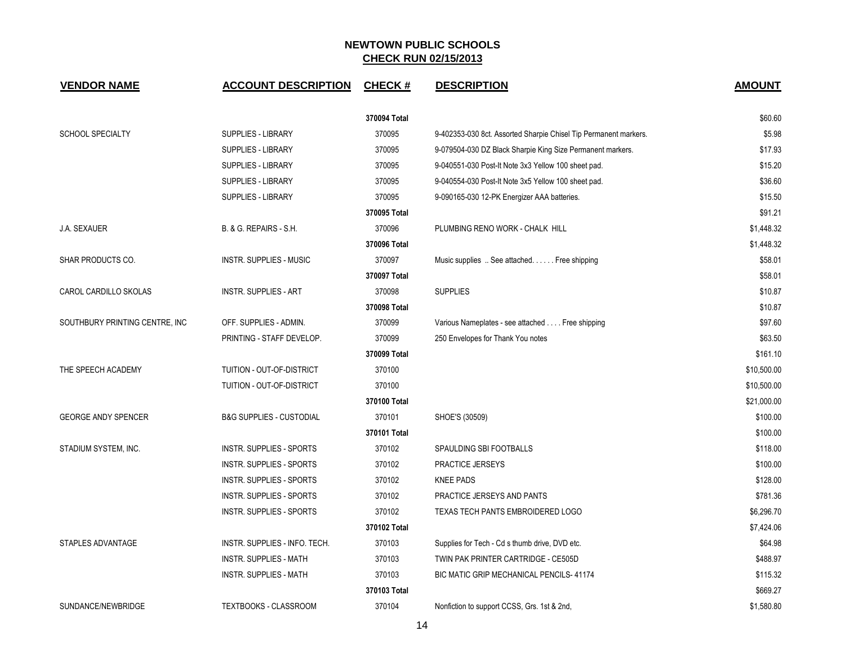| <b>VENDOR NAME</b>             | <b>ACCOUNT DESCRIPTION</b>          | <b>CHECK#</b> | <b>DESCRIPTION</b>                                               | <b>AMOUNT</b> |
|--------------------------------|-------------------------------------|---------------|------------------------------------------------------------------|---------------|
|                                |                                     | 370094 Total  |                                                                  | \$60.60       |
| <b>SCHOOL SPECIALTY</b>        | <b>SUPPLIES - LIBRARY</b>           | 370095        | 9-402353-030 8ct. Assorted Sharpie Chisel Tip Permanent markers. | \$5.98        |
|                                | <b>SUPPLIES - LIBRARY</b>           | 370095        | 9-079504-030 DZ Black Sharpie King Size Permanent markers.       | \$17.93       |
|                                | <b>SUPPLIES - LIBRARY</b>           | 370095        | 9-040551-030 Post-It Note 3x3 Yellow 100 sheet pad.              | \$15.20       |
|                                | <b>SUPPLIES - LIBRARY</b>           | 370095        | 9-040554-030 Post-It Note 3x5 Yellow 100 sheet pad.              | \$36.60       |
|                                | <b>SUPPLIES - LIBRARY</b>           | 370095        | 9-090165-030 12-PK Energizer AAA batteries.                      | \$15.50       |
|                                |                                     | 370095 Total  |                                                                  | \$91.21       |
| J.A. SEXAUER                   | B. & G. REPAIRS - S.H.              | 370096        | PLUMBING RENO WORK - CHALK HILL                                  | \$1,448.32    |
|                                |                                     | 370096 Total  |                                                                  | \$1,448.32    |
| SHAR PRODUCTS CO.              | <b>INSTR. SUPPLIES - MUSIC</b>      | 370097        | Music supplies  See attached Free shipping                       | \$58.01       |
|                                |                                     | 370097 Total  |                                                                  | \$58.01       |
| CAROL CARDILLO SKOLAS          | <b>INSTR. SUPPLIES - ART</b>        | 370098        | <b>SUPPLIES</b>                                                  | \$10.87       |
|                                |                                     | 370098 Total  |                                                                  | \$10.87       |
| SOUTHBURY PRINTING CENTRE, INC | OFF. SUPPLIES - ADMIN.              | 370099        | Various Nameplates - see attached Free shipping                  | \$97.60       |
|                                | PRINTING - STAFF DEVELOP.           | 370099        | 250 Envelopes for Thank You notes                                | \$63.50       |
|                                |                                     | 370099 Total  |                                                                  | \$161.10      |
| THE SPEECH ACADEMY             | TUITION - OUT-OF-DISTRICT           | 370100        |                                                                  | \$10,500.00   |
|                                | TUITION - OUT-OF-DISTRICT           | 370100        |                                                                  | \$10,500.00   |
|                                |                                     | 370100 Total  |                                                                  | \$21,000.00   |
| <b>GEORGE ANDY SPENCER</b>     | <b>B&amp;G SUPPLIES - CUSTODIAL</b> | 370101        | SHOE'S (30509)                                                   | \$100.00      |
|                                |                                     | 370101 Total  |                                                                  | \$100.00      |
| STADIUM SYSTEM, INC.           | INSTR. SUPPLIES - SPORTS            | 370102        | SPAULDING SBI FOOTBALLS                                          | \$118.00      |
|                                | INSTR. SUPPLIES - SPORTS            | 370102        | PRACTICE JERSEYS                                                 | \$100.00      |
|                                | INSTR. SUPPLIES - SPORTS            | 370102        | <b>KNEE PADS</b>                                                 | \$128.00      |
|                                | INSTR. SUPPLIES - SPORTS            | 370102        | PRACTICE JERSEYS AND PANTS                                       | \$781.36      |
|                                | INSTR. SUPPLIES - SPORTS            | 370102        | TEXAS TECH PANTS EMBROIDERED LOGO                                | \$6,296.70    |
|                                |                                     | 370102 Total  |                                                                  | \$7,424.06    |
| STAPLES ADVANTAGE              | INSTR. SUPPLIES - INFO. TECH.       | 370103        | Supplies for Tech - Cd s thumb drive, DVD etc.                   | \$64.98       |
|                                | <b>INSTR. SUPPLIES - MATH</b>       | 370103        | TWIN PAK PRINTER CARTRIDGE - CE505D                              | \$488.97      |
|                                | <b>INSTR. SUPPLIES - MATH</b>       | 370103        | BIC MATIC GRIP MECHANICAL PENCILS-41174                          | \$115.32      |
|                                |                                     | 370103 Total  |                                                                  | \$669.27      |
| SUNDANCE/NEWBRIDGE             | <b>TEXTBOOKS - CLASSROOM</b>        | 370104        | Nonfiction to support CCSS, Grs. 1st & 2nd,                      | \$1,580.80    |